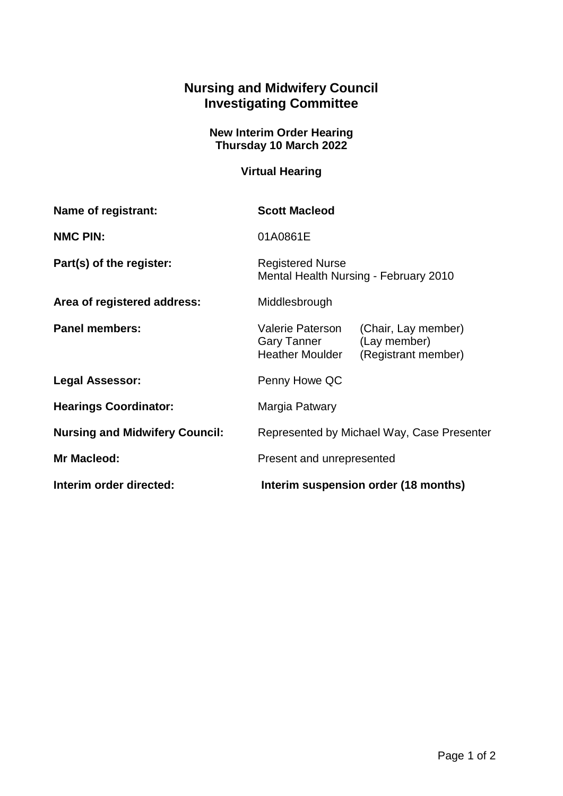## **Nursing and Midwifery Council Investigating Committee**

## **New Interim Order Hearing Thursday 10 March 2022**

## **Virtual Hearing**

| Name of registrant:                   | <b>Scott Macleod</b>                                                    |                                                            |
|---------------------------------------|-------------------------------------------------------------------------|------------------------------------------------------------|
| <b>NMC PIN:</b>                       | 01A0861E                                                                |                                                            |
| Part(s) of the register:              | <b>Registered Nurse</b><br>Mental Health Nursing - February 2010        |                                                            |
| Area of registered address:           | Middlesbrough                                                           |                                                            |
| <b>Panel members:</b>                 | <b>Valerie Paterson</b><br><b>Gary Tanner</b><br><b>Heather Moulder</b> | (Chair, Lay member)<br>(Lay member)<br>(Registrant member) |
| <b>Legal Assessor:</b>                | Penny Howe QC                                                           |                                                            |
| <b>Hearings Coordinator:</b>          | Margia Patwary                                                          |                                                            |
| <b>Nursing and Midwifery Council:</b> | Represented by Michael Way, Case Presenter                              |                                                            |
| Mr Macleod:                           | Present and unrepresented                                               |                                                            |
| Interim order directed:               | Interim suspension order (18 months)                                    |                                                            |